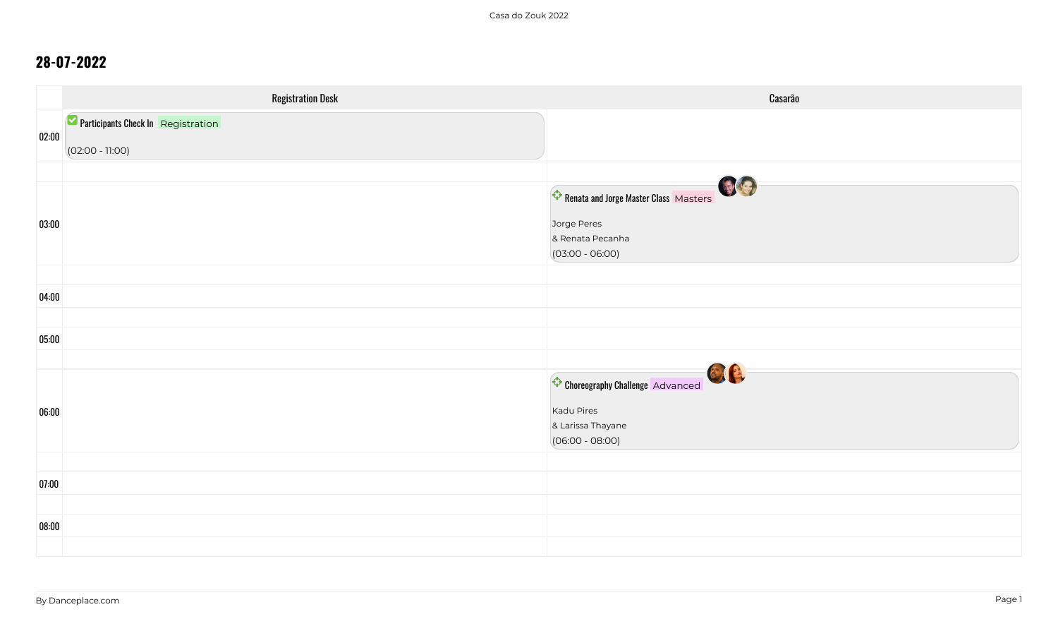|       | <b>Registration Desk</b>           | Casarão                               |
|-------|------------------------------------|---------------------------------------|
|       | Participants Check In Registration |                                       |
| 02:00 | $(02:00 - 11:00)$                  |                                       |
|       |                                    | 09                                    |
|       |                                    | Renata and Jorge Master Class Masters |
| 03:00 |                                    | Jorge Peres                           |
|       |                                    | & Renata Pecanha<br>$(03:00 - 06:00)$ |
|       |                                    |                                       |
| 04:00 |                                    |                                       |
|       |                                    |                                       |
| 05:00 |                                    |                                       |
|       |                                    | BIA                                   |
|       |                                    | Choreography Challenge Advanced       |
| 06:00 |                                    | Kadu Pires<br>& Larissa Thayane       |
|       |                                    | $(06:00 - 08:00)$                     |
|       |                                    |                                       |
| 07:00 |                                    |                                       |
| 08:00 |                                    |                                       |
|       |                                    |                                       |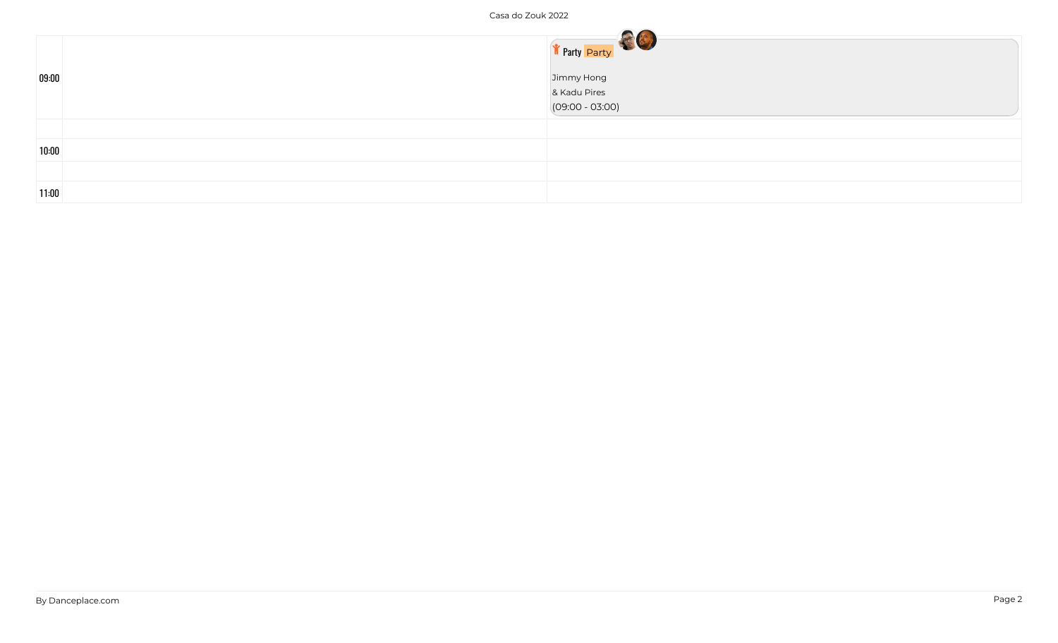| 09:00 | Texty Party<br>Jimmy Hong<br>& Kadu Pires<br>$(09:00 - 03:00)$ |
|-------|----------------------------------------------------------------|
| 10:00 |                                                                |
| 11:00 |                                                                |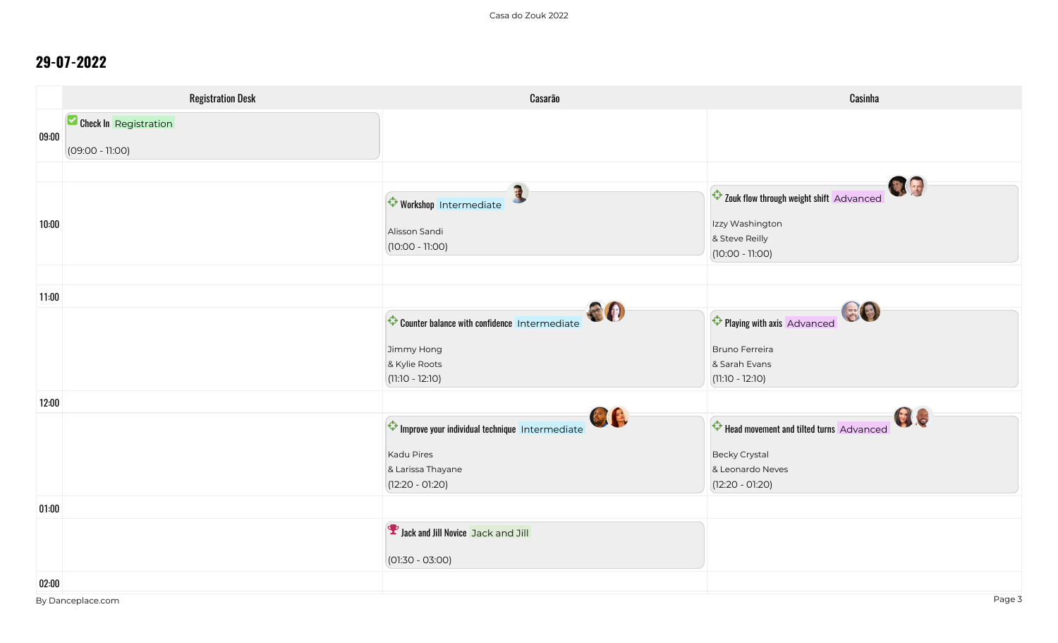|       | <b>Registration Desk</b> | Casarão                                                     | Casinha                                                                                                  |
|-------|--------------------------|-------------------------------------------------------------|----------------------------------------------------------------------------------------------------------|
|       | Check In Registration    |                                                             |                                                                                                          |
| 09:00 | $(09:00 - 11:00)$        |                                                             |                                                                                                          |
|       |                          |                                                             |                                                                                                          |
| 10:00 |                          | Workshop Intermediate<br>Alisson Sandi<br>$(10:00 - 11:00)$ | Q g<br>Zouk flow through weight shift Advanced<br>Izzy Washington<br>& Steve Reilly<br>$(10:00 - 11:00)$ |
| 11:00 |                          |                                                             |                                                                                                          |
|       |                          | CO<br>Counter balance with confidence Intermediate          | 日日<br>Playing with axis Advanced                                                                         |
|       |                          | Jimmy Hong                                                  | Bruno Ferreira                                                                                           |
|       |                          | & Kylie Roots<br>$(11:10 - 12:10)$                          | & Sarah Evans<br>$(11:10 - 12:10)$                                                                       |
| 12:00 |                          |                                                             |                                                                                                          |
|       |                          | 图像<br>Improve your individual technique Intermediate        | GI.G<br>Head movement and tilted turns Advanced                                                          |
|       |                          | <b>Kadu Pires</b>                                           | <b>Becky Crystal</b>                                                                                     |
|       |                          | & Larissa Thayane<br>$(12:20 - 01:20)$                      | & Leonardo Neves<br>$(12:20 - 01:20)$                                                                    |
| 01:00 |                          |                                                             |                                                                                                          |
|       |                          | <b>Y</b> Jack and Jill Novice Jack and Jill                 |                                                                                                          |
|       |                          | $(01:30 - 03:00)$                                           |                                                                                                          |
| 02:00 |                          |                                                             |                                                                                                          |
|       | By Danceplace.com        |                                                             | Page 3                                                                                                   |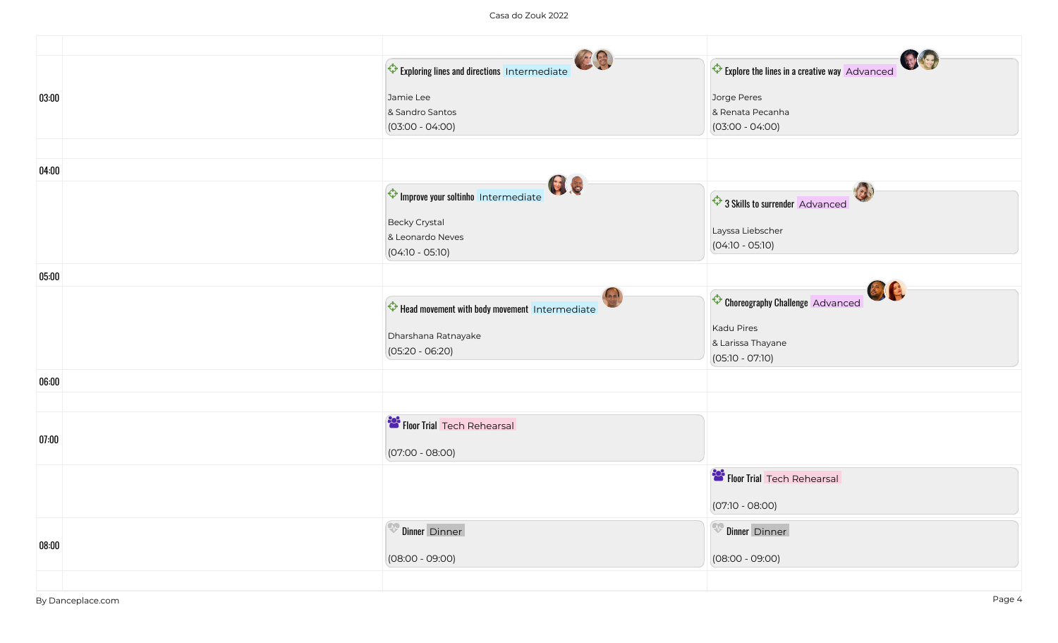|       | Exploring lines and directions Intermediate   | Explore the lines in a creative way Advanced |
|-------|-----------------------------------------------|----------------------------------------------|
| 03:00 | Jamie Lee                                     | Jorge Peres                                  |
|       | & Sandro Santos                               | & Renata Pecanha                             |
|       | $(03:00 - 04:00)$                             | $(03:00 - 04:00)$                            |
|       |                                               |                                              |
| 04:00 |                                               |                                              |
|       | GI S<br>Improve your soltinho Intermediate    | 3 Skills to surrender Advanced               |
|       | <b>Becky Crystal</b>                          |                                              |
|       | & Leonardo Neves                              | Layssa Liebscher                             |
|       | $(04:10 - 05:10)$                             | $(04:10 - 05:10)$                            |
| 05:00 |                                               |                                              |
|       | Head movement with body movement Intermediate | 副良<br>Choreography Challenge Advanced        |
|       |                                               | Kadu Pires                                   |
|       | Dharshana Ratnayake                           | & Larissa Thayane                            |
|       | $(05:20 - 06:20)$                             | $(05:10 - 07:10)$                            |
| 06:00 |                                               |                                              |
|       |                                               |                                              |
| 07:00 | Floor Trial Tech Rehearsal                    |                                              |
|       | $(07:00 - 08:00)$                             |                                              |
|       |                                               | Floor Trial Tech Rehearsal                   |
|       |                                               | $(07:10 - 08:00)$                            |
| 08:00 | Dinner Dinner                                 | Dinner Dinner                                |
|       | $(08:00 - 09:00)$                             | $(08:00 - 09:00)$                            |
|       |                                               |                                              |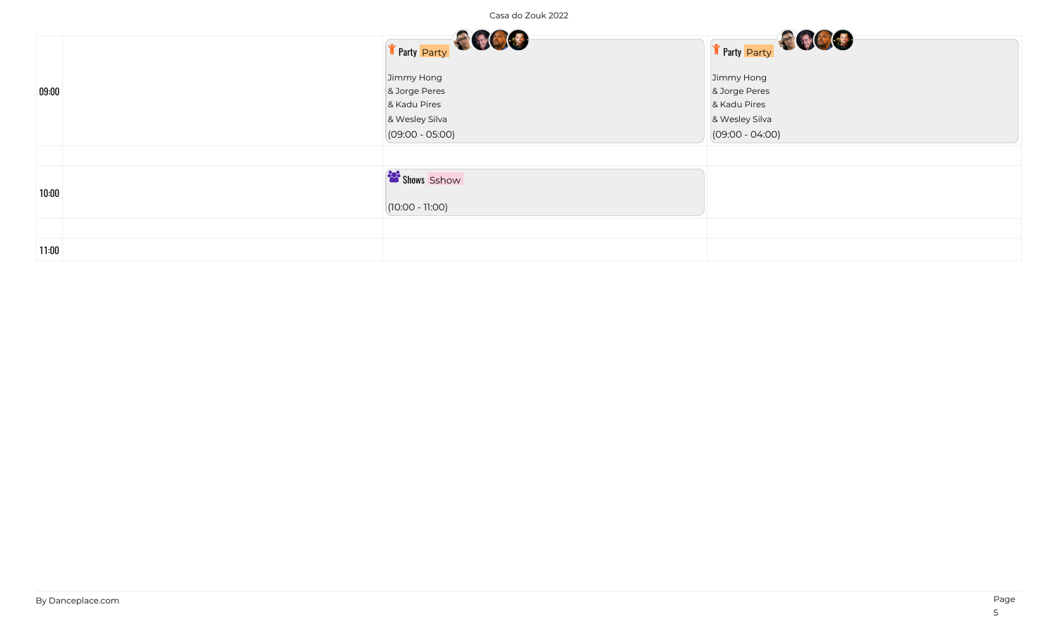| Casa do Zouk 2022 |                                                                                    |                                                                                    |
|-------------------|------------------------------------------------------------------------------------|------------------------------------------------------------------------------------|
|                   | T Party Party                                                                      | The Party Party                                                                    |
| 09:00             | Jimmy Hong<br>& Jorge Peres<br>& Kadu Pires<br>& Wesley Silva<br>$(09:00 - 05:00)$ | Jimmy Hong<br>& Jorge Peres<br>& Kadu Pires<br>& Wesley Silva<br>$(09:00 - 04:00)$ |
| 10:00             | Shows Sshow<br>$(10:00 - 11:00)$                                                   |                                                                                    |
| 11:00             |                                                                                    |                                                                                    |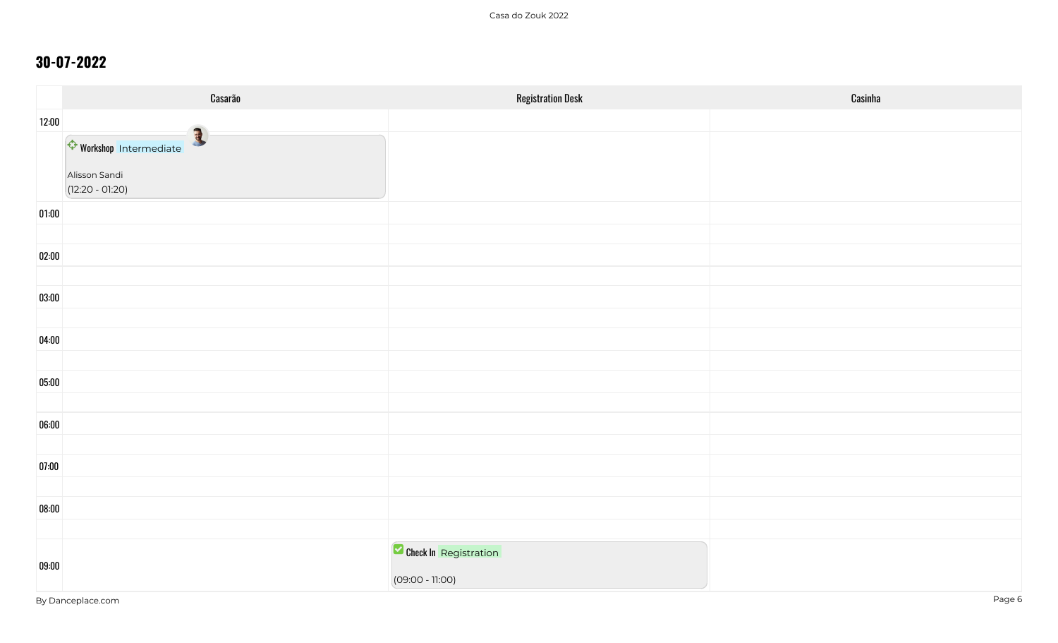|       | Casarão                                                     | <b>Registration Desk</b>                   | Casinha |
|-------|-------------------------------------------------------------|--------------------------------------------|---------|
| 12:00 |                                                             |                                            |         |
|       | Workshop Intermediate<br>Alisson Sandi<br>$(12:20 - 01:20)$ |                                            |         |
| 01:00 |                                                             |                                            |         |
| 02:00 |                                                             |                                            |         |
| 03:00 |                                                             |                                            |         |
|       |                                                             |                                            |         |
| 04:00 |                                                             |                                            |         |
| 05:00 |                                                             |                                            |         |
| 06:00 |                                                             |                                            |         |
| 07:00 |                                                             |                                            |         |
|       |                                                             |                                            |         |
| 08:00 |                                                             |                                            |         |
| 09:00 |                                                             | Check In Registration<br>$(09:00 - 11:00)$ |         |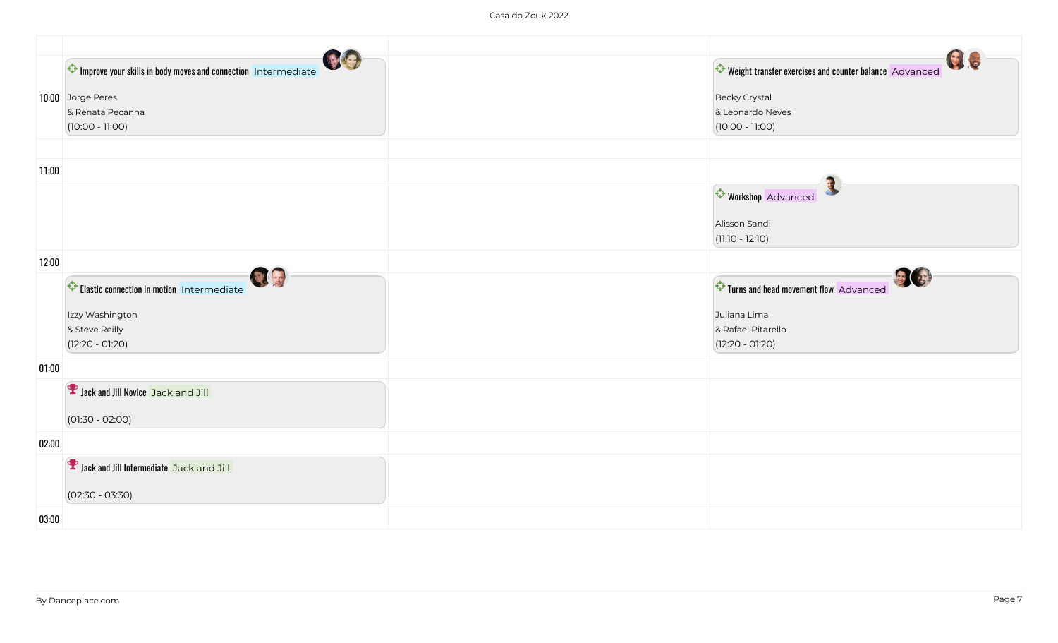|       | Improve your skills in body moves and connection Intermediate<br>10:00 Jorge Peres<br>& Renata Pecanha<br>$(10:00 - 11:00)$ | US<br>Weight transfer exercises and counter balance Advanced<br><b>Becky Crystal</b><br>& Leonardo Neves<br>$(10:00 - 11:00)$ |
|-------|-----------------------------------------------------------------------------------------------------------------------------|-------------------------------------------------------------------------------------------------------------------------------|
| 11:00 |                                                                                                                             |                                                                                                                               |
|       |                                                                                                                             | <b>Workshop</b> Advanced                                                                                                      |
|       |                                                                                                                             | Alisson Sandi<br>$(11:10 - 12:10)$                                                                                            |
| 12:00 |                                                                                                                             |                                                                                                                               |
|       | Qg<br><b>C</b> Elastic connection in motion Intermediate                                                                    | 33<br>Turns and head movement flow Advanced                                                                                   |
|       | Izzy Washington                                                                                                             | Juliana Lima                                                                                                                  |
|       | & Steve Reilly<br>$(12:20 - 01:20)$                                                                                         | & Rafael Pitarello<br>$(12:20 - 01:20)$                                                                                       |
| 01:00 |                                                                                                                             |                                                                                                                               |
|       | <b>V</b> Jack and Jill Novice Jack and Jill                                                                                 |                                                                                                                               |
|       | $(01:30 - 02:00)$                                                                                                           |                                                                                                                               |
| 02:00 |                                                                                                                             |                                                                                                                               |
|       | <b>Y</b> Jack and Jill Intermediate Jack and Jill                                                                           |                                                                                                                               |
|       | $(02:30 - 03:30)$                                                                                                           |                                                                                                                               |
| 03:00 |                                                                                                                             |                                                                                                                               |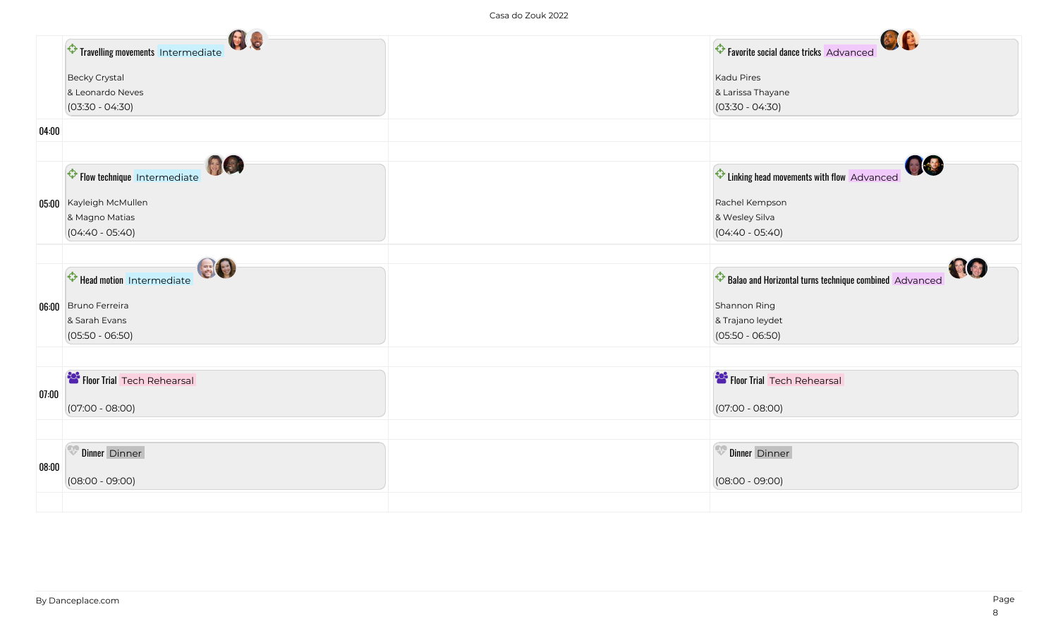|       | BIG                               | <b>BIE</b>                                             |
|-------|-----------------------------------|--------------------------------------------------------|
|       | Travelling movements Intermediate | <b>C</b> Favorite social dance tricks Advanced         |
|       | <b>Becky Crystal</b>              | <b>Kadu Pires</b>                                      |
|       | & Leonardo Neves                  | & Larissa Thayane                                      |
|       | $(03:30 - 04:30)$                 | $(03:30 - 04:30)$                                      |
| 04:00 |                                   |                                                        |
|       |                                   |                                                        |
|       | 同样<br>Flow technique Intermediate | <b>OB</b><br>Linking head movements with flow Advanced |
|       | 05:00 Kayleigh McMullen           | Rachel Kempson                                         |
|       | & Magno Matias                    | & Wesley Silva                                         |
|       | $(04:40 - 05:40)$                 | $(04:40 - 05:40)$                                      |
|       |                                   |                                                        |
|       | Head motion Intermediate          | Balao and Horizontal turns technique combined Advanced |
|       | 06:00 Bruno Ferreira              | Shannon Ring                                           |
|       | & Sarah Evans                     | & Trajano leydet                                       |
|       | $(05:50 - 06:50)$                 | $(05:50 - 06:50)$                                      |
|       |                                   |                                                        |
|       | Floor Trial Tech Rehearsal        | Floor Trial Tech Rehearsal                             |
| 07:00 | $(07:00 - 08:00)$                 | $(07:00 - 08:00)$                                      |
|       |                                   |                                                        |
|       | Dinner Dinner                     | Dinner Dinner                                          |
| 08:00 |                                   |                                                        |
|       | $(08:00 - 09:00)$                 | $(08:00 - 09:00)$                                      |
|       |                                   |                                                        |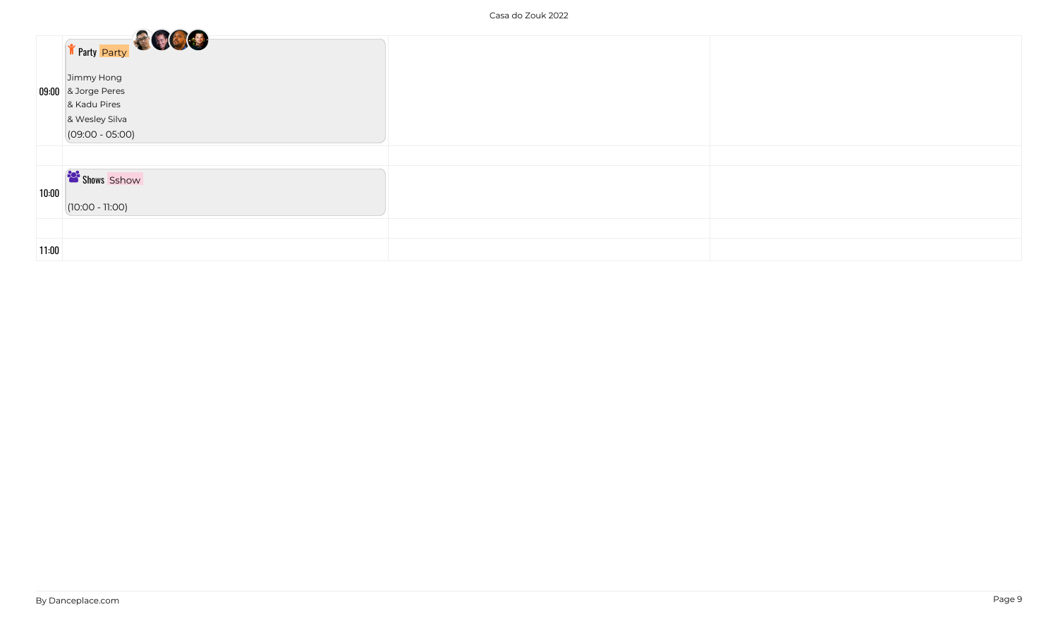|       | The Party <b>Party</b><br>Jimmy Hong<br>09:00 & Jorge Peres<br>& Kadu Pires<br>& Wesley Silva<br>$(09:00 - 05:00)$ |  |
|-------|--------------------------------------------------------------------------------------------------------------------|--|
|       |                                                                                                                    |  |
|       |                                                                                                                    |  |
| 10:00 | Shows Sshow<br>$(10:00 - 11:00)$                                                                                   |  |
|       |                                                                                                                    |  |
|       |                                                                                                                    |  |
| 11:00 |                                                                                                                    |  |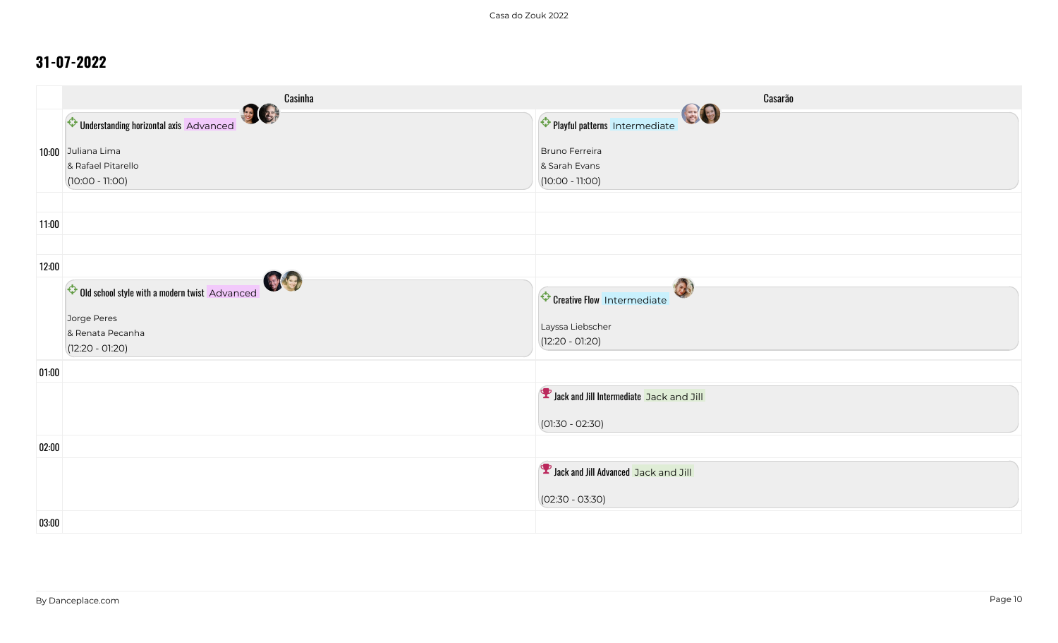|       | Casinha                                                       | Casarão                                              |
|-------|---------------------------------------------------------------|------------------------------------------------------|
|       | 日日<br>Understanding horizontal axis Advanced                  | GO<br>Playful patterns Intermediate                  |
|       | 10:00 Juliana Lima<br>& Rafael Pitarello<br>$(10:00 - 11:00)$ | Bruno Ferreira<br>& Sarah Evans<br>$(10:00 - 11:00)$ |
| 11:00 |                                                               |                                                      |
|       |                                                               |                                                      |
| 12:00 |                                                               |                                                      |
|       | 99<br>Old school style with a modern twist Advanced           | 13<br>Creative Flow Intermediate                     |
|       | Jorge Peres<br>& Renata Pecanha                               | Layssa Liebscher                                     |
|       | $(12:20 - 01:20)$                                             | $(12:20 - 01:20)$                                    |
| 01:00 |                                                               |                                                      |
|       |                                                               | <b>D</b> Jack and Jill Intermediate Jack and Jill    |
|       |                                                               | $(01:30 - 02:30)$                                    |
| 02:00 |                                                               |                                                      |
|       |                                                               | <b>P</b> Jack and Jill Advanced Jack and Jill        |
|       |                                                               | $(02:30 - 03:30)$                                    |
| 03:00 |                                                               |                                                      |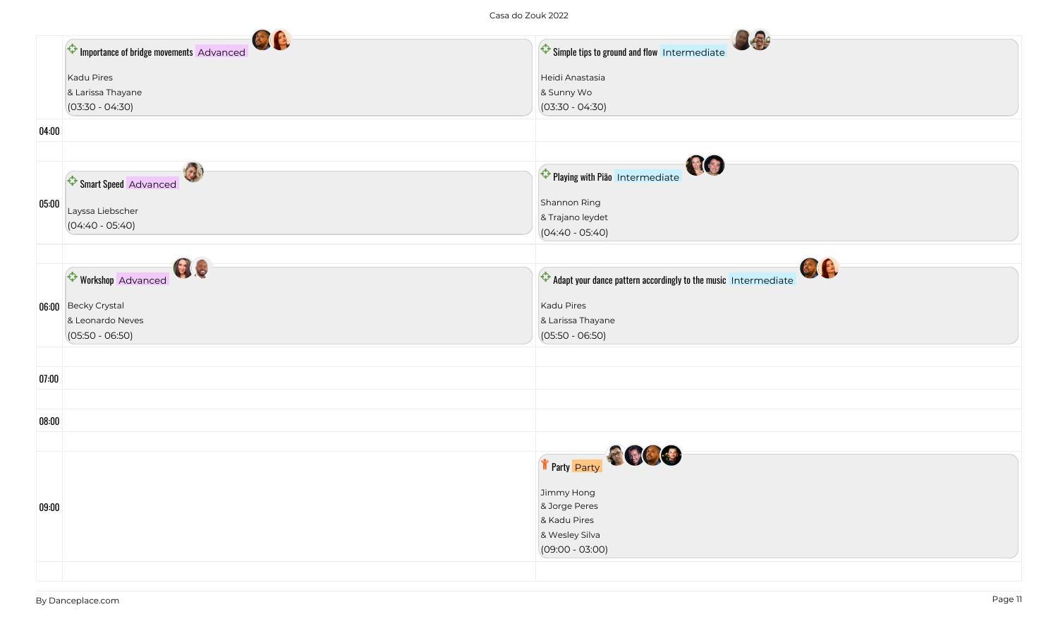Casa do Zouk 2022

|       | 图图                                      | 国务                                                                        |
|-------|-----------------------------------------|---------------------------------------------------------------------------|
|       | Importance of bridge movements Advanced | Simple tips to ground and flow Intermediate                               |
|       | Kadu Pires                              | Heidi Anastasia                                                           |
|       | & Larissa Thayane                       | & Sunny Wo                                                                |
|       | $(03:30 - 04:30)$                       | $(03:30 - 04:30)$                                                         |
| 04:00 |                                         |                                                                           |
|       |                                         |                                                                           |
|       | Smart Speed Advanced                    | NO<br>Playing with Pião Intermediate                                      |
| 05:00 |                                         | Shannon Ring                                                              |
|       | Layssa Liebscher                        | & Trajano leydet                                                          |
|       | $(04:40 - 05:40)$                       | $(04:40 - 05:40)$                                                         |
|       |                                         |                                                                           |
|       | 日日                                      | 图像                                                                        |
|       | <b>Workshop Advanced</b>                | $\bigodot$ Adapt your dance pattern accordingly to the music Intermediate |
|       | 06:00 Becky Crystal                     | Kadu Pires                                                                |
|       | & Leonardo Neves                        | & Larissa Thayane                                                         |
|       | $(05:50 - 06:50)$                       | $(05:50 - 06:50)$                                                         |
|       |                                         |                                                                           |
|       |                                         |                                                                           |
| 07:00 |                                         |                                                                           |
|       |                                         |                                                                           |
| 08:00 |                                         |                                                                           |
|       |                                         |                                                                           |
|       |                                         | Texty Party                                                               |
|       |                                         |                                                                           |
| 09:00 |                                         | Jimmy Hong<br>& Jorge Peres                                               |
|       |                                         | & Kadu Pires                                                              |
|       |                                         | & Wesley Silva                                                            |
|       |                                         | $(09:00 - 03:00)$                                                         |
|       |                                         |                                                                           |
|       |                                         |                                                                           |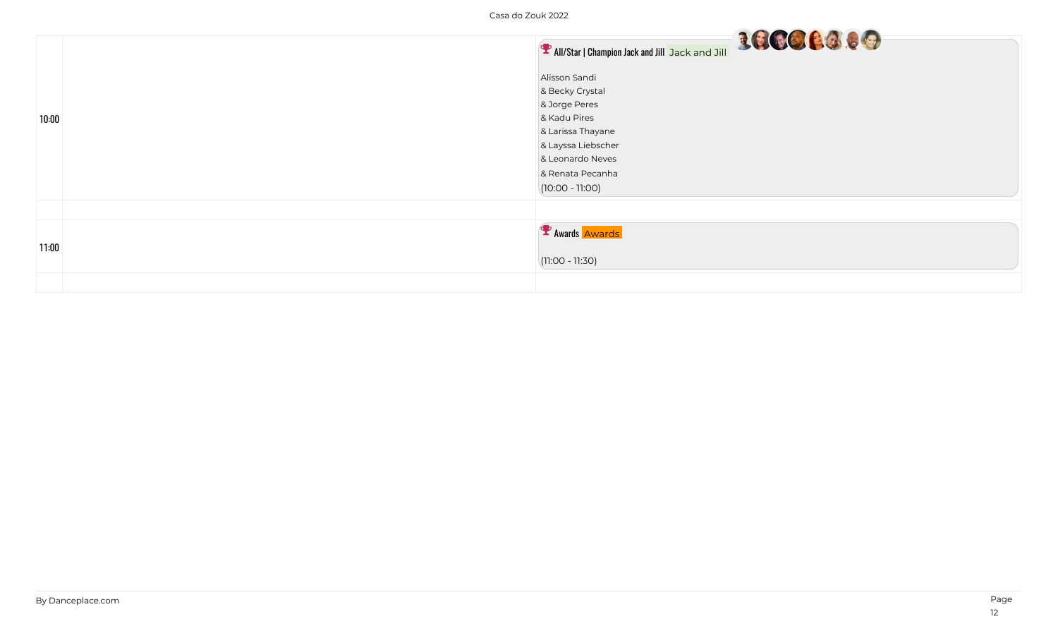$\sim$  $\sim$  $\sim$ 

|       | <b>P</b> All/Star   Champion Jack and Jill Jack and Jill                                                                                                                  |
|-------|---------------------------------------------------------------------------------------------------------------------------------------------------------------------------|
| 10:00 | Alisson Sandi<br>& Becky Crystal<br>& Jorge Peres<br>& Kadu Pires<br>& Larissa Thayane<br>& Layssa Liebscher<br>& Leonardo Neves<br>& Renata Pecanha<br>$(10:00 - 11:00)$ |
| 11:00 | P Awards Awards<br>$(11:00 - 11:30)$                                                                                                                                      |